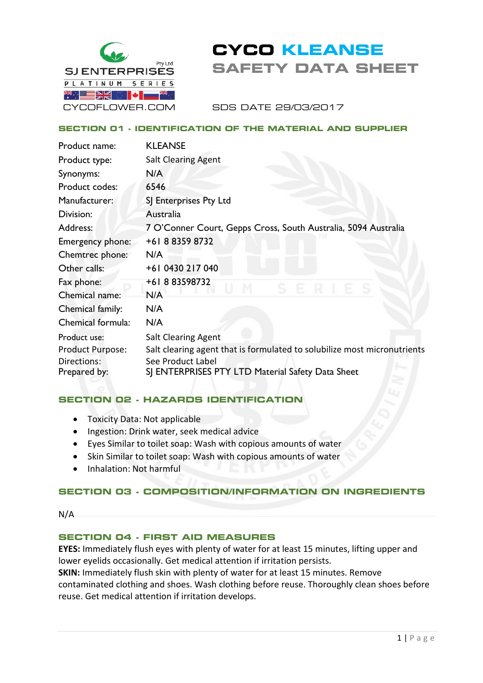

# **CYCO KLEANSE SAFETY DATA SHEET**

SDS DATE 29/03/2017

#### **SECTION 01 - IDENTIFICATION OF THE MATERIAL AND SUPPLIER**

| Product name:                   | <b>KLEANSE</b>                                                                                |
|---------------------------------|-----------------------------------------------------------------------------------------------|
| Product type:                   | <b>Salt Clearing Agent</b>                                                                    |
| Synonyms:                       | N/A                                                                                           |
| Product codes:                  | 6546                                                                                          |
| Manufacturer:                   | SJ Enterprises Pty Ltd                                                                        |
| Division:                       | Australia                                                                                     |
| Address:                        | 7 O'Conner Court, Gepps Cross, South Australia, 5094 Australia                                |
| Emergency phone:                | +61883598732                                                                                  |
| Chemtrec phone:                 | N/A                                                                                           |
| Other calls:                    | +61 0430 217 040                                                                              |
| Fax phone:                      | +61883598732<br>Æ.                                                                            |
| Chemical name:                  | N/A                                                                                           |
| Chemical family:                | N/A                                                                                           |
| Chemical formula:               | N/A                                                                                           |
| Product use:                    | <b>Salt Clearing Agent</b>                                                                    |
| Product Purpose:<br>Directions: | Salt clearing agent that is formulated to solubilize most micronutrients<br>See Product Label |
| Prepared by:                    | SJ ENTERPRISES PTY LTD Material Safety Data Sheet                                             |

# **SECTION 02 - HAZARDS IDENTIFICATION**

- Toxicity Data: Not applicable
- Ingestion: Drink water, seek medical advice
- Eyes Similar to toilet soap: Wash with copious amounts of water
- Skin Similar to toilet soap: Wash with copious amounts of water
- Inhalation: Not harmful

# **SECTION 03 - COMPOSITION/INFORMATION ON INGREDIENTS**

N/A

# **SECTION 04 - FIRST AID MEASURES**

**EYES:** Immediately flush eyes with plenty of water for at least 15 minutes, lifting upper and lower eyelids occasionally. Get medical attention if irritation persists.

**SKIN:** Immediately flush skin with plenty of water for at least 15 minutes. Remove contaminated clothing and shoes. Wash clothing before reuse. Thoroughly clean shoes before reuse. Get medical attention if irritation develops.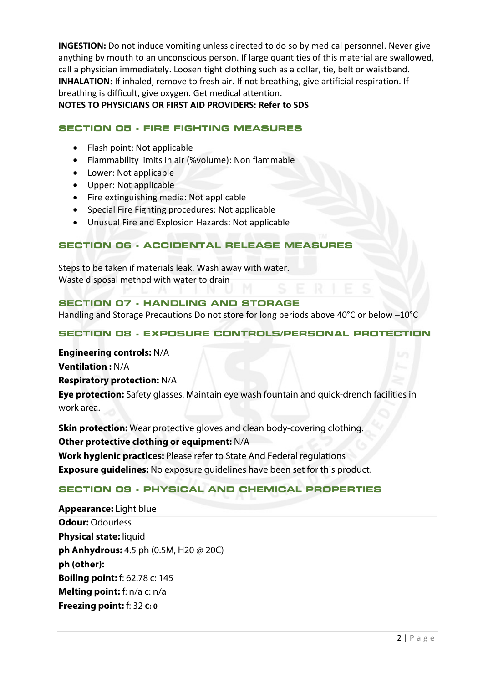**INGESTION:** Do not induce vomiting unless directed to do so by medical personnel. Never give anything by mouth to an unconscious person. If large quantities of this material are swallowed, call a physician immediately. Loosen tight clothing such as a collar, tie, belt or waistband. **INHALATION:** If inhaled, remove to fresh air. If not breathing, give artificial respiration. If breathing is difficult, give oxygen. Get medical attention.

**NOTES TO PHYSICIANS OR FIRST AID PROVIDERS: Refer to SDS**

## **SECTION 05 - FIRE FIGHTING MEASURES**

- Flash point: Not applicable
- Flammability limits in air (%volume): Non flammable
- Lower: Not applicable
- Upper: Not applicable
- Fire extinguishing media: Not applicable
- Special Fire Fighting procedures: Not applicable
- Unusual Fire and Explosion Hazards: Not applicable

## **SECTION 06 - ACCIDENTAL RELEASE MEASURES**

Steps to be taken if materials leak. Wash away with water. Waste disposal method with water to drain

# **SECTION 07 - HANDLING AND STORAGE** Handling and Storage Precautions Do not store for long periods above 40°C or below –10°C

# **SECTION 08 - EXPOSURE CONTROLS/PERSONAL PROTECTION**

#### **Engineering controls:** N/A

**Ventilation :** N/A

#### **Respiratory protection:** N/A

**Eye protection:** Safety glasses. Maintain eye wash fountain and quick-drench facilities in work area.

**Skin protection:** Wear protective gloves and clean body-covering clothing.

#### **Other protective clothing or equipment:** N/A

**Work hygienic practices:** Please refer to State And Federal regulations

**Exposure guidelines:** No exposure guidelines have been set for this product.

#### **SECTION 09 - PHYSICAL AND CHEMICAL PROPERTIES**

**Appearance:** Light blue **Odour:** Odourless **Physical state:** liquid **ph Anhydrous:** 4.5 ph (0.5M, H20 @ 20C) **ph (other): Boiling point:** f: 62.78 c: 145 **Melting point:** f: n/a c: n/a **Freezing point:** f: 32 **C: 0**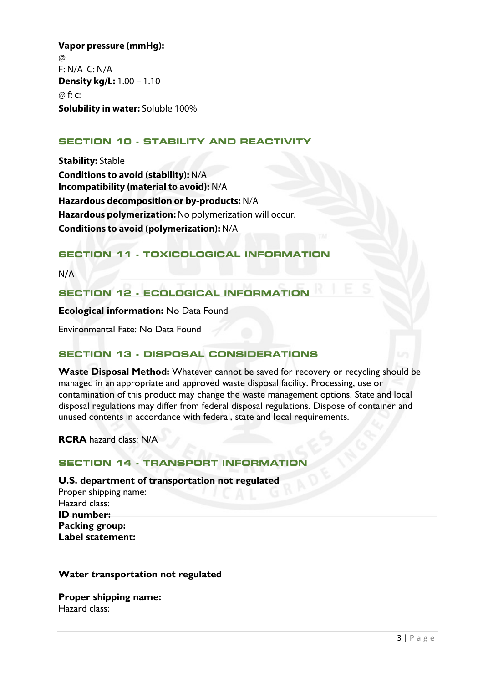**Vapor pressure (mmHg):**   $\omega$ F: N/A C: N/A **Density kg/L:** 1.00 – 1.10 @ f: c: **Solubility in water:** Soluble 100%

# **SECTION 10 - STABILITY AND REACTIVITY**

**Stability:** Stable **Conditions to avoid (stability):** N/A **Incompatibility (material to avoid):** N/A **Hazardous decomposition or by-products:** N/A **Hazardous polymerization:** No polymerization will occur. **Conditions to avoid (polymerization):** N/A

## **SECTION 11 - TOXICOLOGICAL INFORMATION**

N/A

#### **SECTION 12 - ECOLOGICAL INFORMATION**

**Ecological information:** No Data Found

Environmental Fate: No Data Found

#### **SECTION 13 - DISPOSAL CONSIDERATIONS**

**Waste Disposal Method:** Whatever cannot be saved for recovery or recycling should be managed in an appropriate and approved waste disposal facility. Processing, use or contamination of this product may change the waste management options. State and local disposal regulations may differ from federal disposal regulations. Dispose of container and unused contents in accordance with federal, state and local requirements.

**RCRA** hazard class: N/A

#### **SECTION 14 - TRANSPORT INFORMATION**

#### **U.S. department of transportation not regulated**

Proper shipping name: Hazard class: **ID number: Packing group: Label statement:**

## **Water transportation not regulated**

**Proper shipping name:**  Hazard class: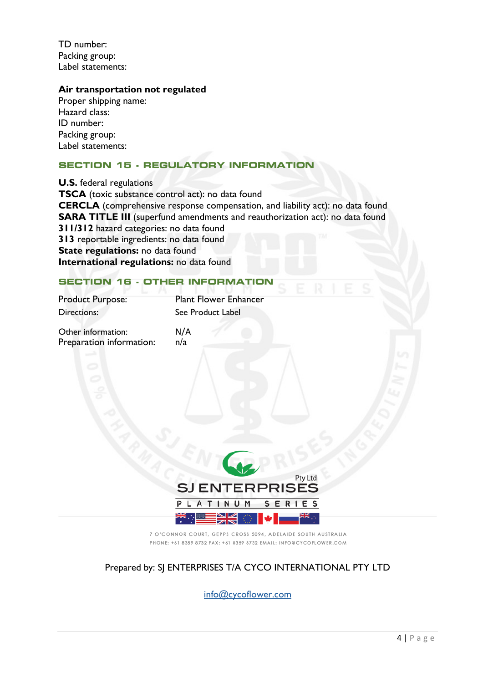TD number: Packing group: Label statements:

#### **Air transportation not regulated**

Proper shipping name: Hazard class: ID number: Packing group: Label statements:

# **SECTION 15 - REGULATORY INFORMATION**

**U.S.** federal regulations **TSCA** (toxic substance control act): no data found **CERCLA** (comprehensive response compensation, and liability act): no data found **SARA TITLE III** (superfund amendments and reauthorization act): no data found **311/312** hazard categories: no data found **313** reportable ingredients: no data found **State regulations:** no data found **International regulations:** no data found

# **SECTION 16 - OTHER INFORMATION**

Product Purpose: Plant Flower Enhancer Directions: See Product Label

Other information: N/A Preparation information: n/a



7 O'CONNOR COURT, GEPPS CROSS 5094, ADELAIDE SOUTH AUSTRALIA PHONE: +61 8359 8732 FAX: +61 8359 8732 EMAIL: INFO@CYCOFLOWER.COM

# Prepared by: SJ ENTERPRISES T/A CYCO INTERNATIONAL PTY LTD

info@cycoflower.com